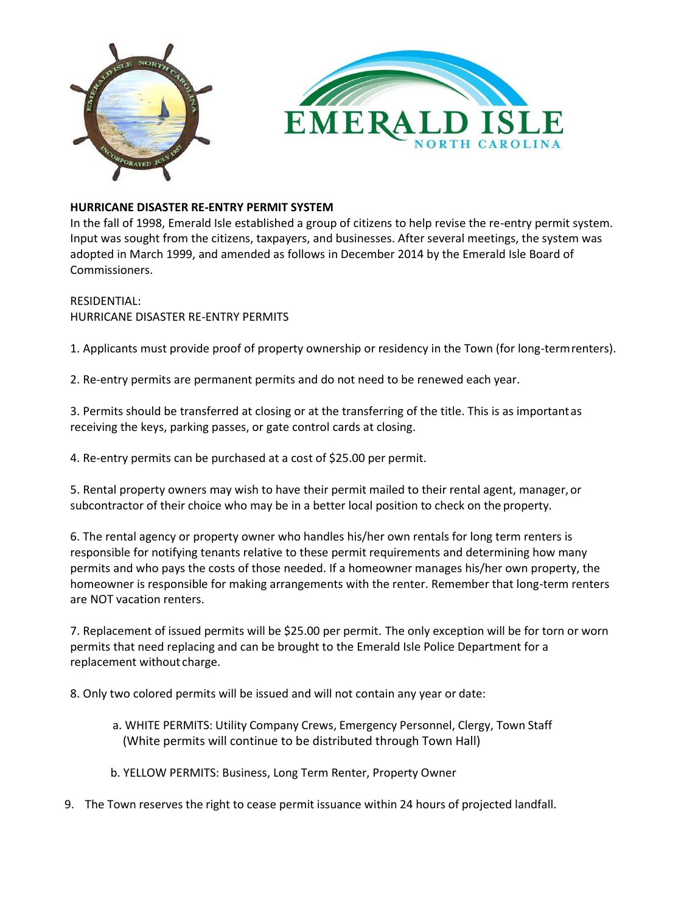



## **HURRICANE DISASTER RE-ENTRY PERMIT SYSTEM**

In the fall of 1998, Emerald Isle established a group of citizens to help revise the re-entry permit system. Input was sought from the citizens, taxpayers, and businesses. After several meetings, the system was adopted in March 1999, and amended as follows in December 2014 by the Emerald Isle Board of Commissioners.

## RESIDENTIAL: HURRICANE DISASTER RE-ENTRY PERMITS

1. Applicants must provide proof of property ownership or residency in the Town (for long-termrenters).

2. Re-entry permits are permanent permits and do not need to be renewed each year.

3. Permits should be transferred at closing or at the transferring of the title. This is as importantas receiving the keys, parking passes, or gate control cards at closing.

4. Re-entry permits can be purchased at a cost of \$25.00 per permit.

5. Rental property owners may wish to have their permit mailed to their rental agent, manager,or subcontractor of their choice who may be in a better local position to check on the property.

6. The rental agency or property owner who handles his/her own rentals for long term renters is responsible for notifying tenants relative to these permit requirements and determining how many permits and who pays the costs of those needed. If a homeowner manages his/her own property, the homeowner is responsible for making arrangements with the renter. Remember that long-term renters are NOT vacation renters.

7. Replacement of issued permits will be \$25.00 per permit. The only exception will be for torn or worn permits that need replacing and can be brought to the Emerald Isle Police Department for a replacement without charge.

8. Only two colored permits will be issued and will not contain any year or date:

- a. WHITE PERMITS: Utility Company Crews, Emergency Personnel, Clergy, Town Staff (White permits will continue to be distributed through Town Hall)
- b. YELLOW PERMITS: Business, Long Term Renter, Property Owner
- 9. The Town reserves the right to cease permit issuance within 24 hours of projected landfall.